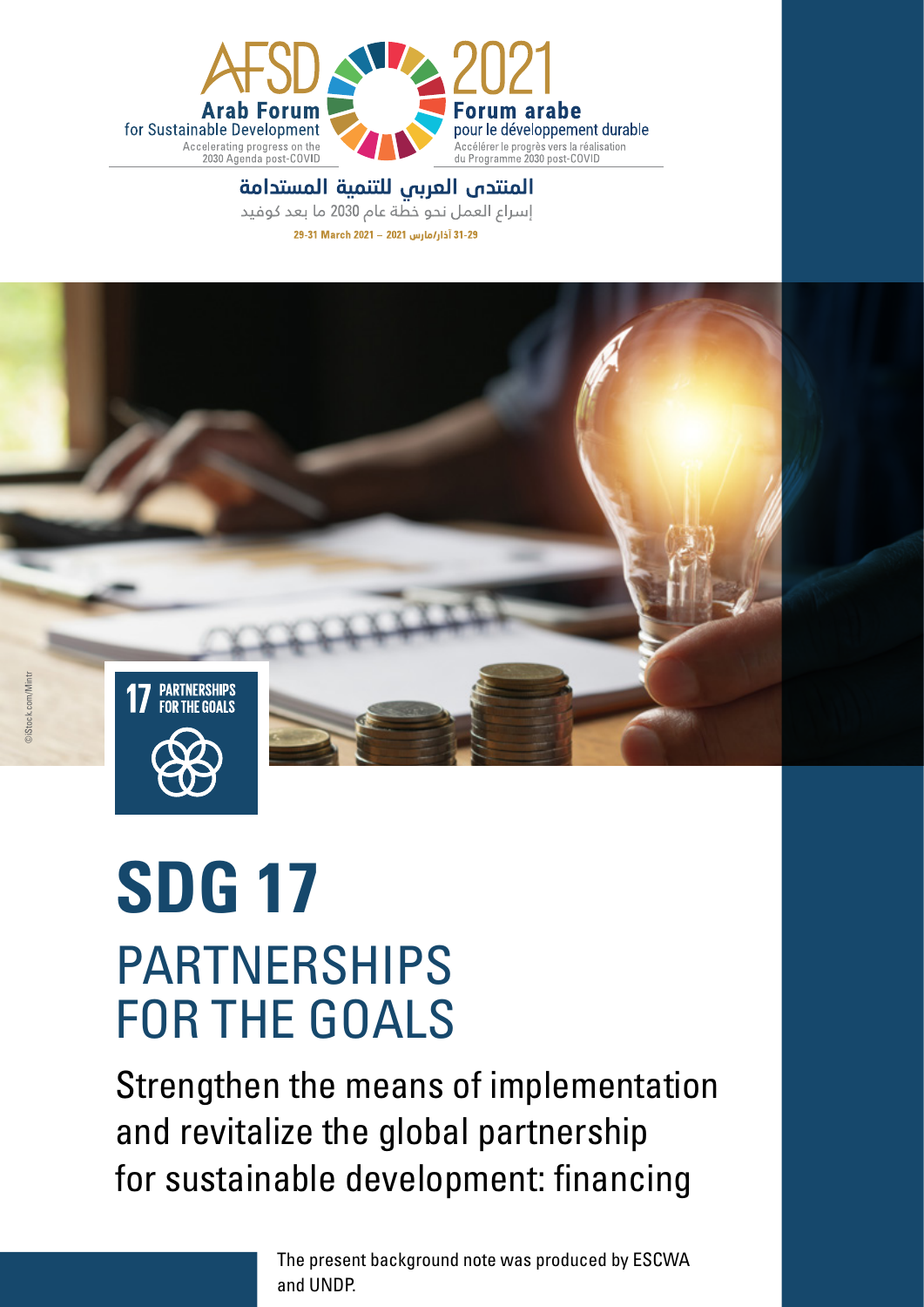

#### المنتدى العربى للتنمية المستدامة

إسراع العمل نحو خطة عام 2030 ما بعد كوفيد





# **SDG 17** PARTNERSHIPS FOR THE GOALS

Strengthen the means of implementation and revitalize the global partnership for sustainable development: financing

> The present background note was produced by ESCWA and UNDP.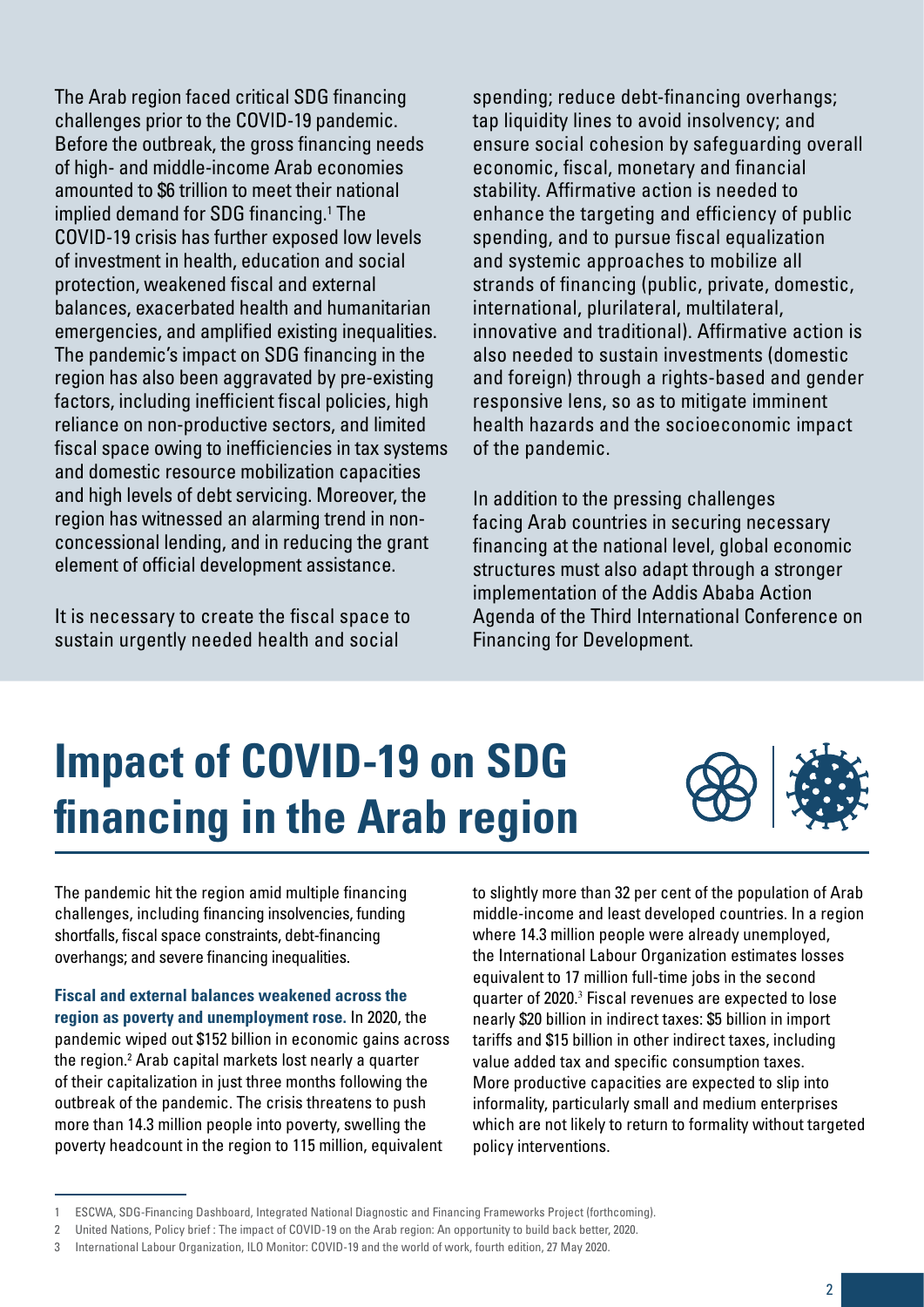The Arab region faced critical SDG financing challenges prior to the COVID-19 pandemic. Before the outbreak, the gross financing needs of high- and middle-income Arab economies amounted to \$6 trillion to meet their national implied demand for SDG financing.<sup>1</sup> The COVID-19 crisis has further exposed low levels of investment in health, education and social protection, weakened fiscal and external balances, exacerbated health and humanitarian emergencies, and amplified existing inequalities. The pandemic's impact on SDG financing in the region has also been aggravated by pre-existing factors, including inefficient fiscal policies, high reliance on non-productive sectors, and limited fiscal space owing to inefficiencies in tax systems and domestic resource mobilization capacities and high levels of debt servicing. Moreover, the region has witnessed an alarming trend in nonconcessional lending, and in reducing the grant element of official development assistance.

It is necessary to create the fiscal space to sustain urgently needed health and social

spending; reduce debt-financing overhangs; tap liquidity lines to avoid insolvency; and ensure social cohesion by safeguarding overall economic, fiscal, monetary and financial stability. Affirmative action is needed to enhance the targeting and efficiency of public spending, and to pursue fiscal equalization and systemic approaches to mobilize all strands of financing (public, private, domestic, international, plurilateral, multilateral, innovative and traditional). Affirmative action is also needed to sustain investments (domestic and foreign) through a rights-based and gender responsive lens, so as to mitigate imminent health hazards and the socioeconomic impact of the pandemic.

In addition to the pressing challenges facing Arab countries in securing necessary financing at the national level, global economic structures must also adapt through a stronger implementation of the Addis Ababa Action Agenda of the Third International Conference on Financing for Development.

## **Impact of COVID-19 on SDG financing in the Arab region**



The pandemic hit the region amid multiple financing challenges, including financing insolvencies, funding shortfalls, fiscal space constraints, debt-financing overhangs; and severe financing inequalities.

**Fiscal and external balances weakened across the region as poverty and unemployment rose.** In 2020, the pandemic wiped out \$152 billion in economic gains across the region.2 Arab capital markets lost nearly a quarter of their capitalization in just three months following the outbreak of the pandemic. The crisis threatens to push more than 14.3 million people into poverty, swelling the poverty headcount in the region to 115 million, equivalent

to slightly more than 32 per cent of the population of Arab middle-income and least developed countries. In a region where 14.3 million people were already unemployed, the International Labour Organization estimates losses equivalent to 17 million full-time jobs in the second quarter of 2020.<sup>3</sup> Fiscal revenues are expected to lose nearly \$20 billion in indirect taxes: \$5 billion in import tariffs and \$15 billion in other indirect taxes, including value added tax and specific consumption taxes. More productive capacities are expected to slip into informality, particularly small and medium enterprises which are not likely to return to formality without targeted policy interventions.

<sup>1</sup> ESCWA, SDG-Financing Dashboard, Integrated National Diagnostic and Financing Frameworks Project (forthcoming).

<sup>2</sup> United Nations, Policy brief : [The impact of COVID-19 on the Arab region: An opportunity to build back better,](https://www.un.org/sites/un2.un.org/files/sg_policy_brief_covid-19_and_arab_states_english_version_july_2020.pdf) 2020.

<sup>3</sup> International Labour Organization, ILO Monitor: COVID-19 and the world of work, fourth edition, 27 May 2020.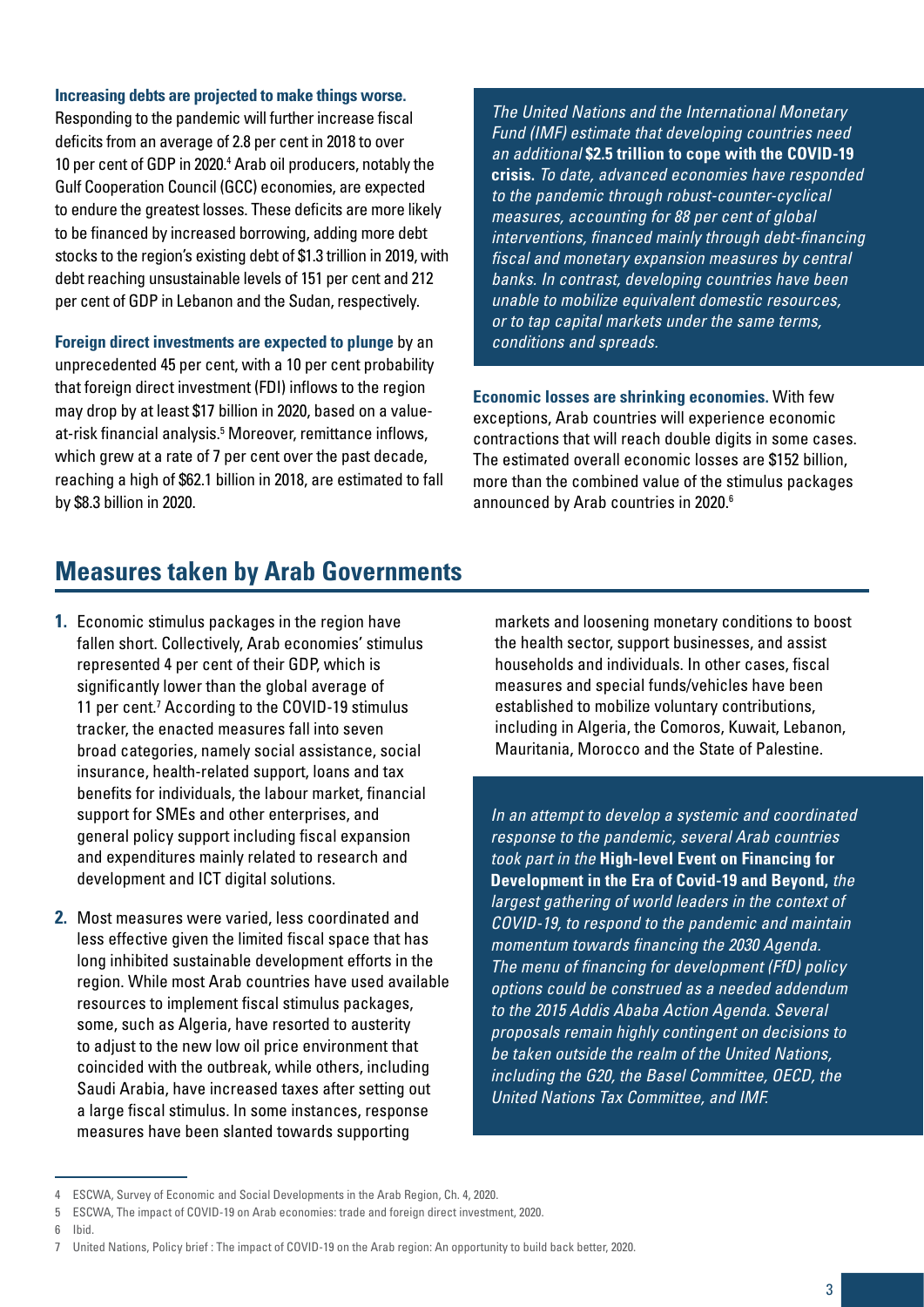#### **Increasing debts are projected to make things worse.**

Responding to the pandemic will further increase fiscal deficits from an average of 2.8 per cent in 2018 to over 10 per cent of GDP in 2020.<sup>4</sup> Arab oil producers, notably the Gulf Cooperation Council (GCC) economies, are expected to endure the greatest losses. These deficits are more likely to be financed by increased borrowing, adding more debt stocks to the region's existing debt of \$1.3 trillion in 2019, with debt reaching unsustainable levels of 151 per cent and 212 per cent of GDP in Lebanon and the Sudan, respectively.

**Foreign direct investments are expected to plunge** by an unprecedented 45 per cent, with a 10 per cent probability that foreign direct investment (FDI) inflows to the region may drop by at least \$17 billion in 2020, based on a valueat-risk financial analysis.5 Moreover, remittance inflows, which grew at a rate of 7 per cent over the past decade, reaching a high of \$62.1 billion in 2018, are estimated to fall by \$8.3 billion in 2020.

*The United Nations and the International Monetary Fund (IMF) estimate that developing countries need an additional* **\$2.5 trillion to cope with the COVID-19 crisis.** *To date, advanced economies have responded to the pandemic through robust-counter-cyclical measures, accounting for 88 per cent of global interventions, financed mainly through debt-financing fiscal and monetary expansion measures by central banks. In contrast, developing countries have been unable to mobilize equivalent domestic resources, or to tap capital markets under the same terms, conditions and spreads.*

**Economic losses are shrinking economies.** With few exceptions, Arab countries will experience economic contractions that will reach double digits in some cases. The estimated overall economic losses are \$152 billion, more than the combined value of the stimulus packages announced by Arab countries in 2020.<sup>6</sup>

#### **Measures taken by Arab Governments**

- **1.** Economic stimulus packages in the region have fallen short. Collectively, Arab economies' stimulus represented 4 per cent of their GDP, which is significantly lower than the global average of 11 per cent.<sup>7</sup> According to the COVID-19 stimulus tracker, the enacted measures fall into seven broad categories, namely social assistance, social insurance, health-related support, loans and tax benefits for individuals, the labour market, financial support for SMEs and other enterprises, and general policy support including fiscal expansion and expenditures mainly related to research and development and ICT digital solutions.
- **2.** Most measures were varied, less coordinated and less effective given the limited fiscal space that has long inhibited sustainable development efforts in the region. While most Arab countries have used available resources to implement fiscal stimulus packages, some, such as Algeria, have resorted to austerity to adjust to the new low oil price environment that coincided with the outbreak, while others, including Saudi Arabia, have increased taxes after setting out a large fiscal stimulus. In some instances, response measures have been slanted towards supporting

markets and loosening monetary conditions to boost the health sector, support businesses, and assist households and individuals. In other cases, fiscal measures and special funds/vehicles have been established to mobilize voluntary contributions, including in Algeria, the Comoros, Kuwait, Lebanon, Mauritania, Morocco and the State of Palestine.

*In an attempt to develop a systemic and coordinated response to the pandemic, several Arab countries took part in the* **High-level Event on Financing for Development in the Era of Covid-19 and Beyond,** *the largest gathering of world leaders in the context of COVID-19, to respond to the pandemic and maintain momentum towards financing the 2030 Agenda. The menu of financing for development (FfD) policy options could be construed as a needed addendum to the 2015 Addis Ababa Action Agenda. Several proposals remain highly contingent on decisions to be taken outside the realm of the United Nations, including the G20, the Basel Committee, OECD, the United Nations Tax Committee, and IMF.*

6 Ibid.

<sup>4</sup> ESCWA, [Survey of Economic and Social Developments in the Arab Region,](http://publications.unescwa.org/projects/escwa-survey/sdgs/pdf/en/ESCWA-Economic-Social-Survey-2019-2020-En-CHAPTER 4.pdf) Ch. 4, 2020.

<sup>5</sup> ESCWA, The impact of COVID-19 on Arab economies: trade and foreign direct investment, 2020.

<sup>7</sup> United Nations, Policy brief : The impact of COVID-19 on the Arab region: An opportunity to build back better, 2020.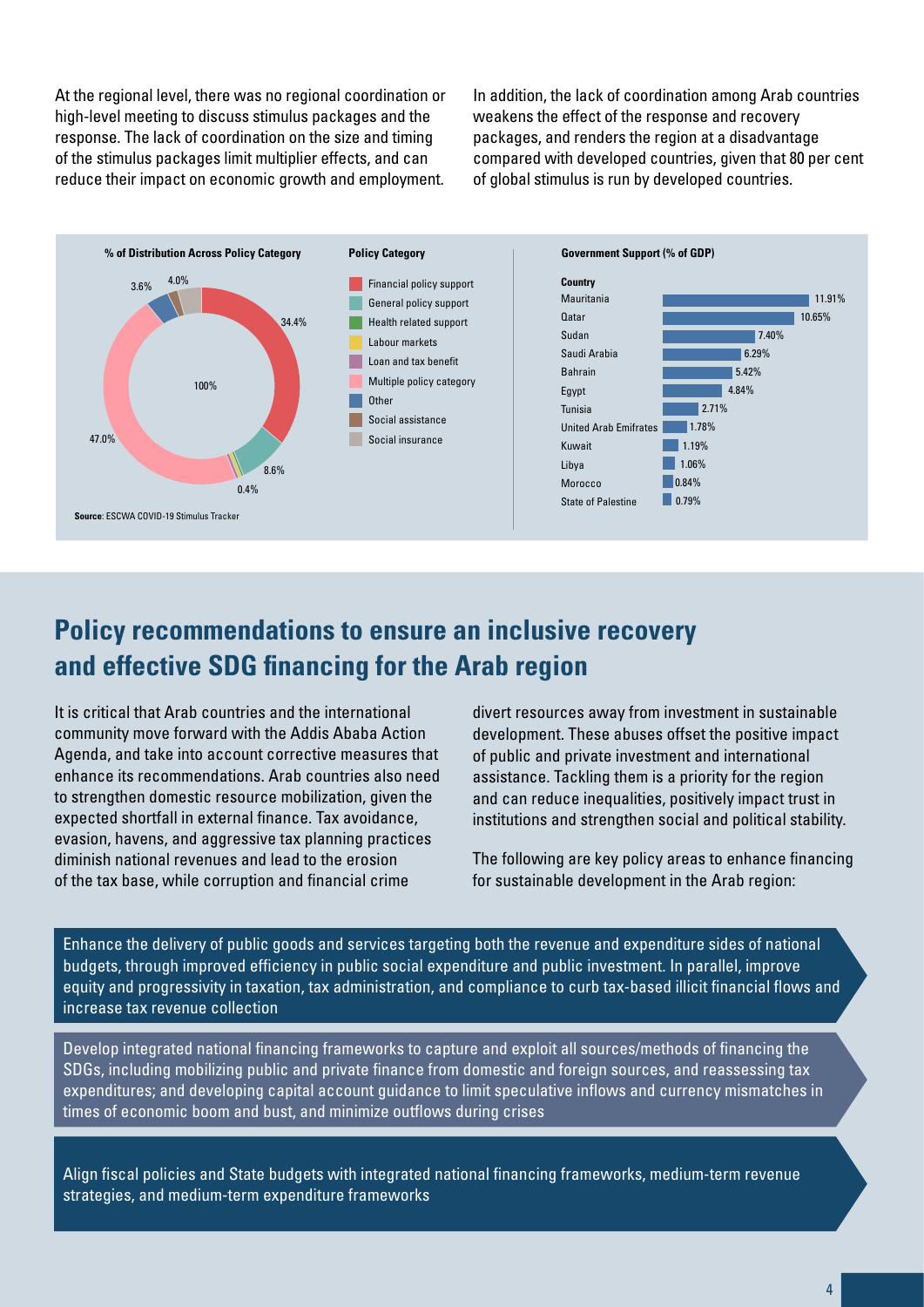At the regional level, there was no regional coordination or high-level meeting to discuss stimulus packages and the response. The lack of coordination on the size and timing of the stimulus packages limit multiplier effects, and can reduce their impact on economic growth and employment.

In addition, the lack of coordination among Arab countries weakens the effect of the response and recovery packages, and renders the region at a disadvantage compared with developed countries, given that 80 per cent of global stimulus is run by developed countries.



### **Policy recommendations to ensure an inclusive recovery and effective SDG financing for the Arab region**

It is critical that Arab countries and the international community move forward with the Addis Ababa Action Agenda, and take into account corrective measures that enhance its recommendations. Arab countries also need to strengthen domestic resource mobilization, given the expected shortfall in external finance. Tax avoidance, evasion, havens, and aggressive tax planning practices diminish national revenues and lead to the erosion of the tax base, while corruption and financial crime

divert resources away from investment in sustainable development. These abuses offset the positive impact of public and private investment and international assistance. Tackling them is a priority for the region and can reduce inequalities, positively impact trust in institutions and strengthen social and political stability.

The following are key policy areas to enhance financing for sustainable development in the Arab region:

Enhance the delivery of public goods and services targeting both the revenue and expenditure sides of national budgets, through improved efficiency in public social expenditure and public investment. In parallel, improve equity and progressivity in taxation, tax administration, and compliance to curb tax-based illicit financial flows and increase tax revenue collection

Develop integrated national financing frameworks to capture and exploit all sources/methods of financing the SDGs, including mobilizing public and private finance from domestic and foreign sources, and reassessing tax expenditures; and developing capital account guidance to limit speculative inflows and currency mismatches in times of economic boom and bust, and minimize outflows during crises

Align fiscal policies and State budgets with integrated national financing frameworks, medium-term revenue strategies, and medium-term expenditure frameworks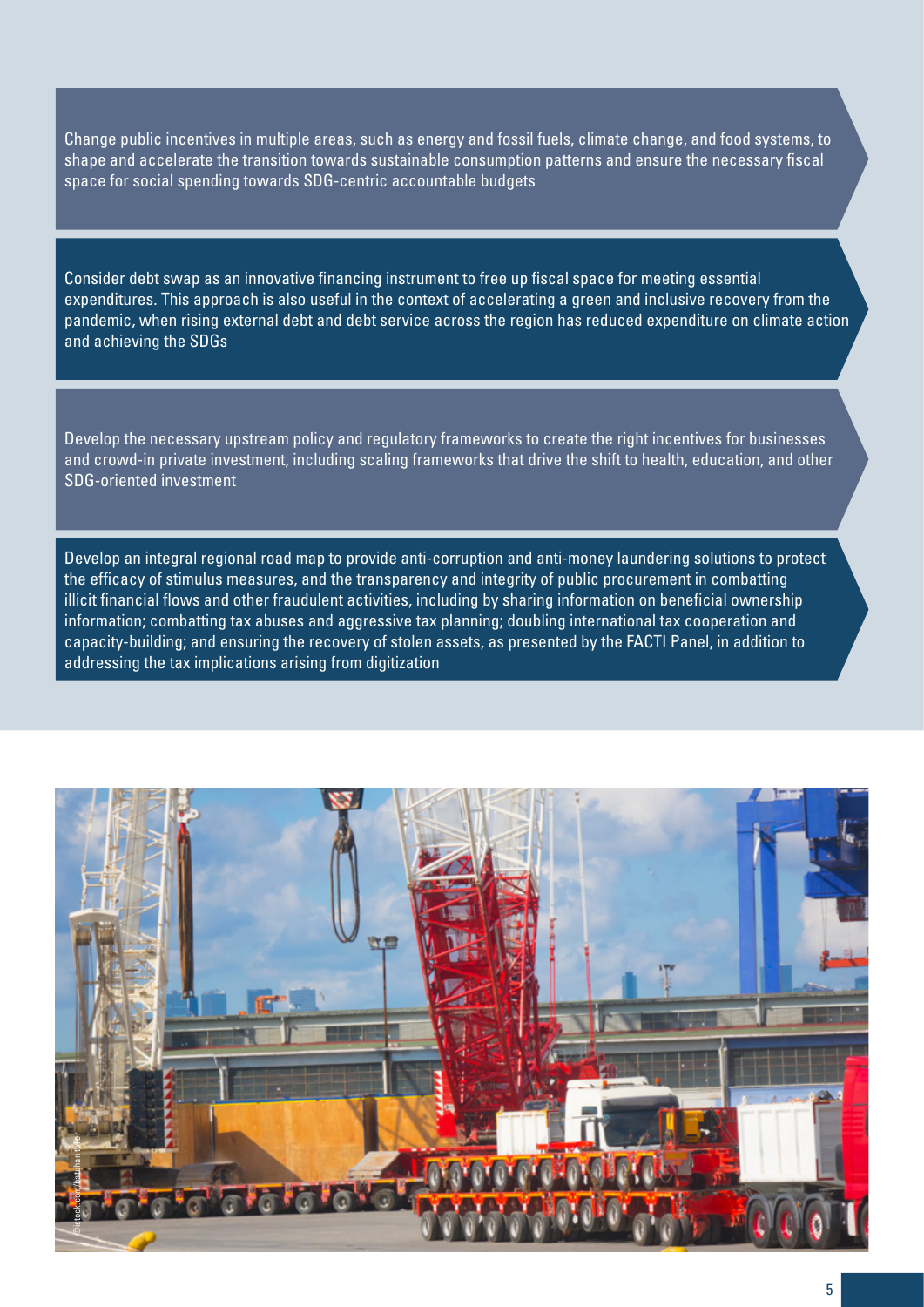Change public incentives in multiple areas, such as energy and fossil fuels, climate change, and food systems, to shape and accelerate the transition towards sustainable consumption patterns and ensure the necessary fiscal space for social spending towards SDG-centric accountable budgets

Consider debt swap as an innovative financing instrument to free up fiscal space for meeting essential expenditures. This approach is also useful in the context of accelerating a green and inclusive recovery from the pandemic, when rising external debt and debt service across the region has reduced expenditure on climate action and achieving the SDGs

Develop the necessary upstream policy and regulatory frameworks to create the right incentives for businesses and crowd-in private investment, including scaling frameworks that drive the shift to health, education, and other SDG-oriented investment

Develop an integral regional road map to provide anti-corruption and anti-money laundering solutions to protect the efficacy of stimulus measures, and the transparency and integrity of public procurement in combatting illicit financial flows and other fraudulent activities, including by sharing information on beneficial ownership information; combatting tax abuses and aggressive tax planning; doubling international tax cooperation and capacity-building; and ensuring the recovery of stolen assets, as presented by the FACTI Panel, in addition to addressing the tax implications arising from digitization

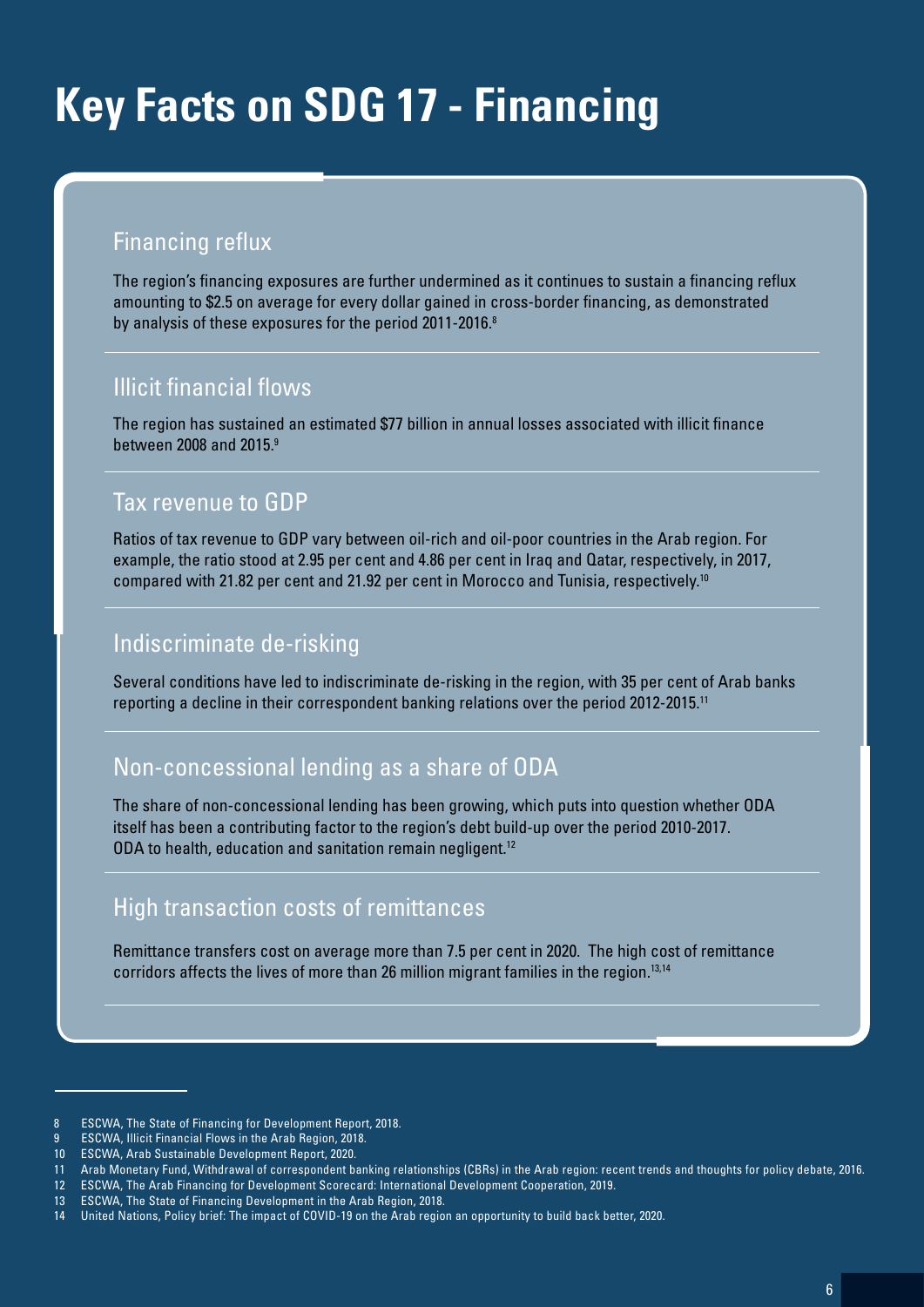### **Key Facts on SDG 17 - Financing**

#### Financing reflux

The region's financing exposures are further undermined as it continues to sustain a financing reflux amounting to \$2.5 on average for every dollar gained in cross-border financing, as demonstrated by analysis of these exposures for the period 2011-2016.<sup>8</sup>

#### Illicit financial flows

The region has sustained an estimated \$77 billion in annual losses associated with illicit finance between 2008 and 2015.9

#### Tax revenue to GDP

Ratios of tax revenue to GDP vary between oil-rich and oil-poor countries in the Arab region. For example, the ratio stood at 2.95 per cent and 4.86 per cent in Iraq and Qatar, respectively, in 2017, compared with 21.82 per cent and 21.92 per cent in Morocco and Tunisia, respectively.<sup>10</sup>

#### Indiscriminate de-risking

Several conditions have led to indiscriminate de-risking in the region, with 35 per cent of Arab banks reporting a decline in their correspondent banking relations over the period 2012-2015.11

#### Non-concessional lending as a share of ODA

The share of non-concessional lending has been growing, which puts into question whether ODA itself has been a contributing factor to the region's debt build-up over the period 2010-2017. ODA to health, education and sanitation remain negligent.12

#### High transaction costs of remittances

Remittance transfers cost on average more than 7.5 per cent in 2020. The high cost of remittance corridors affects the lives of more than 26 million migrant families in the region.<sup>13,14</sup>

<sup>8</sup> ESCWA, The State of Financing for Development Report, 2018.

<sup>9</sup> ESCWA, Illicit Financial Flows in the Arab Region, 2018.

<sup>10</sup> ESCWA, Arab Sustainable Development Report, 2020.

<sup>11</sup> Arab Monetary Fund, Withdrawal of correspondent banking relationships (CBRs) in the Arab region: recent trends and thoughts for policy debate, 2016.

<sup>12</sup> ESCWA, The Arab Financing for Development Scorecard: International Development Cooperation, 2019.

<sup>13</sup> ESCWA, The State of Financing Development in the Arab Region, 2018.

<sup>14</sup> United Nations, Policy brief: The impact of COVID-19 on the Arab region an opportunity to build back better, 2020.